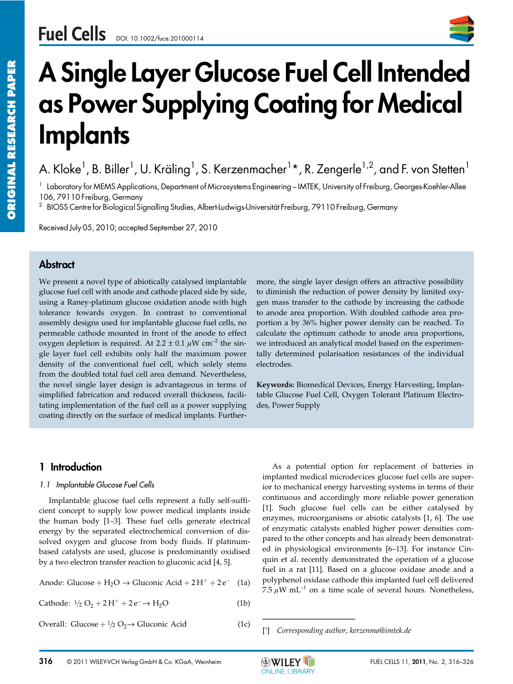

# **A Single Layer Glucose Fuel Cell Intended as Power Supplying Coating for Medical Implants**

A. Kloke<sup>1</sup>, B. Biller<sup>1</sup>, U. Kräling<sup>1</sup>, S. Kerzenmacher<sup>1</sup>\*, R. Zengerle<sup>1,2</sup>, and F. von Stetten<sup>1</sup>

<sup>1</sup> Laboratory for MEMS Applications, Department of Microsystems Engineering – IMTEK, University of Freiburg, Georges-Koehler-Allee 106, 79110 Freiburg, Germany

<sup>2</sup> BIOSS Centre for Biological Signalling Studies, Albert-Ludwigs-Universität Freiburg, 79110 Freiburg, Germany

Received July 05, 2010; accepted September 27, 2010

# **Abstract**

We present a novel type of abiotically catalysed implantable glucose fuel cell with anode and cathode placed side by side, using a Raney-platinum glucose oxidation anode with high tolerance towards oxygen. In contrast to conventional assembly designs used for implantable glucose fuel cells, no permeable cathode mounted in front of the anode to effect oxygen depletion is required. At 2.2  $\pm$  0.1  $\mu$ W cm<sup>-2</sup> the single layer fuel cell exhibits only half the maximum power density of the conventional fuel cell, which solely stems from the doubled total fuel cell area demand. Nevertheless, the novel single layer design is advantageous in terms of simplified fabrication and reduced overall thickness, facilitating implementation of the fuel cell as a power supplying coating directly on the surface of medical implants. Furthermore, the single layer design offers an attractive possibility to diminish the reduction of power density by limited oxygen mass transfer to the cathode by increasing the cathode to anode area proportion. With doubled cathode area proportion a by 36% higher power density can be reached. To calculate the optimum cathode to anode area proportions, we introduced an analytical model based on the experimentally determined polarisation resistances of the individual electrodes.

**Keywords:** Biomedical Devices, Energy Harvesting, Implantable Glucose Fuel Cell, Oxygen Tolerant Platinum Electrodes, Power Supply

# **1 Introduction**

#### *1.1 Implantable Glucose Fuel Cells*

Implantable glucose fuel cells represent a fully self-sufficient concept to supply low power medical implants inside the human body [1–3]. These fuel cells generate electrical energy by the separated electrochemical conversion of dissolved oxygen and glucose from body fluids. If platinumbased catalysts are used, glucose is predominantly oxidised by a two electron transfer reaction to gluconic acid [4, 5].

Anode: Glucose +  $H_2O \rightarrow$  Gluconic Acid +  $2H^+$  +  $2e^-$  (1a)

Cathode:  $1/2$  O<sub>2</sub> + 2H<sup>+</sup> + 2e<sup>-</sup> → H<sub>2</sub>O (1b)

Overall: Glucose  $+ \frac{1}{2}$  O<sub>2</sub>  $\rightarrow$  Gluconic Acid (1c)

As a potential option for replacement of batteries in implanted medical microdevices glucose fuel cells are superior to mechanical energy harvesting systems in terms of their continuous and accordingly more reliable power generation [1]. Such glucose fuel cells can be either catalysed by enzymes, microorganisms or abiotic catalysts [1, 6]. The use of enzymatic catalysts enabled higher power densities compared to the other concepts and has already been demonstrated in physiological environments [6–13]. For instance Cinquin et al. recently demonstrated the operation of a glucose fuel in a rat [11]. Based on a glucose oxidase anode and a polyphenol oxidase cathode this implanted fuel cell delivered 7.5  $\mu$ W mL<sup>-1</sup> on a time scale of several hours. Nonetheless, ior to mechanical energy has continuous and according<br>
[1]. Such glucose fuel continuous and according<br>
[1]. Such glucose fuel continuous, microorganisms<br>
of enzymatic catalysts enaid<br>
pared to the other concepts<br>
ed in p



<sup>[\*]</sup> *Corresponding author, kerzenma@imtek.de*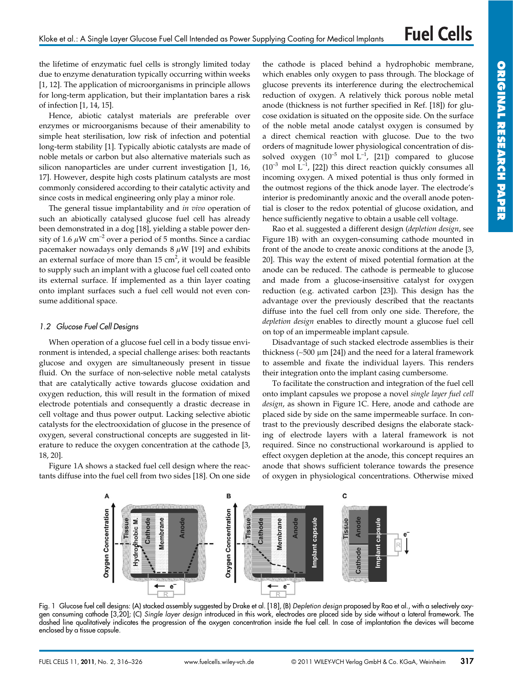the lifetime of enzymatic fuel cells is strongly limited today due to enzyme denaturation typically occurring within weeks [1, 12]. The application of microorganisms in principle allows for long-term application, but their implantation bares a risk of infection [1, 14, 15].

Hence, abiotic catalyst materials are preferable over enzymes or microorganisms because of their amenability to simple heat sterilisation, low risk of infection and potential long-term stability [1]. Typically abiotic catalysts are made of noble metals or carbon but also alternative materials such as silicon nanoparticles are under current investigation [1, 16, 17]. However, despite high costs platinum catalysts are most commonly considered according to their catalytic activity and since costs in medical engineering only play a minor role.

The general tissue implantability and *in vivo* operation of such an abiotically catalysed glucose fuel cell has already been demonstrated in a dog [18], yielding a stable power density of 1.6  $\mu$ W cm<sup>-2</sup> over a period of 5 months. Since a cardiac pacemaker nowadays only demands  $8 \mu W$  [19] and exhibits an external surface of more than  $15 \text{ cm}^2$ , it would be feasible to supply such an implant with a glucose fuel cell coated onto its external surface. If implemented as a thin layer coating onto implant surfaces such a fuel cell would not even consume additional space.

#### *1.2 Glucose Fuel Cell Designs*

When operation of a glucose fuel cell in a body tissue environment is intended, a special challenge arises: both reactants glucose and oxygen are simultaneously present in tissue fluid. On the surface of non-selective noble metal catalysts that are catalytically active towards glucose oxidation and oxygen reduction, this will result in the formation of mixed electrode potentials and consequently a drastic decrease in cell voltage and thus power output. Lacking selective abiotic catalysts for the electrooxidation of glucose in the presence of oxygen, several constructional concepts are suggested in literature to reduce the oxygen concentration at the cathode [3, 18, 20].

Figure 1A shows a stacked fuel cell design where the reactants diffuse into the fuel cell from two sides [18]. On one side

the cathode is placed behind a hydrophobic membrane, which enables only oxygen to pass through. The blockage of glucose prevents its interference during the electrochemical reduction of oxygen. A relatively thick porous noble metal anode (thickness is not further specified in Ref. [18]) for glucose oxidation is situated on the opposite side. On the surface of the noble metal anode catalyst oxygen is consumed by a direct chemical reaction with glucose. Due to the two orders of magnitude lower physiological concentration of dissolved oxygen  $(10^{-5} \text{ mol L}^{-1}$ ,  $[21]$  compared to glucose  $(10^{-3} \text{ mol } L^{-1}$ , [22]) this direct reaction quickly consumes all incoming oxygen. A mixed potential is thus only formed in the outmost regions of the thick anode layer. The electrode's interior is predominantly anoxic and the overall anode potential is closer to the redox potential of glucose oxidation, and hence sufficiently negative to obtain a usable cell voltage.

Rao et al. suggested a different design (*depletion design*, see Figure 1B) with an oxygen-consuming cathode mounted in front of the anode to create anoxic conditions at the anode [3, 20]. This way the extent of mixed potential formation at the anode can be reduced. The cathode is permeable to glucose and made from a glucose-insensitive catalyst for oxygen reduction (e.g. activated carbon [23]). This design has the advantage over the previously described that the reactants diffuse into the fuel cell from only one side. Therefore, the *depletion design* enables to directly mount a glucose fuel cell on top of an impermeable implant capsule.

Disadvantage of such stacked electrode assemblies is their thickness ( $~500 \mu m$  [24]) and the need for a lateral framework to assemble and fixate the individual layers. This renders their integration onto the implant casing cumbersome.

To facilitate the construction and integration of the fuel cell onto implant capsules we propose a novel *single layer fuel cell design*, as shown in Figure 1C. Here, anode and cathode are placed side by side on the same impermeable surface. In contrast to the previously described designs the elaborate stacking of electrode layers with a lateral framework is not required. Since no constructional workaround is applied to effect oxygen depletion at the anode, this concept requires an anode that shows sufficient tolerance towards the presence of oxygen in physiological concentrations. Otherwise mixed



Fig. 1 Glucose fuel cell designs: (A) stacked assembly suggested by Drake et al. [18], (B) *Depletion design* proposed by Rao et al., with a selectively oxygen consuming cathode [3,20]; (C) *Single layer design* introduced in this work, electrodes are placed side by side without a lateral framework. The dashed line qualitatively indicates the progression of the oxygen concentration inside the fuel cell. In case of implantation the devices will become enclosed by a tissue capsule.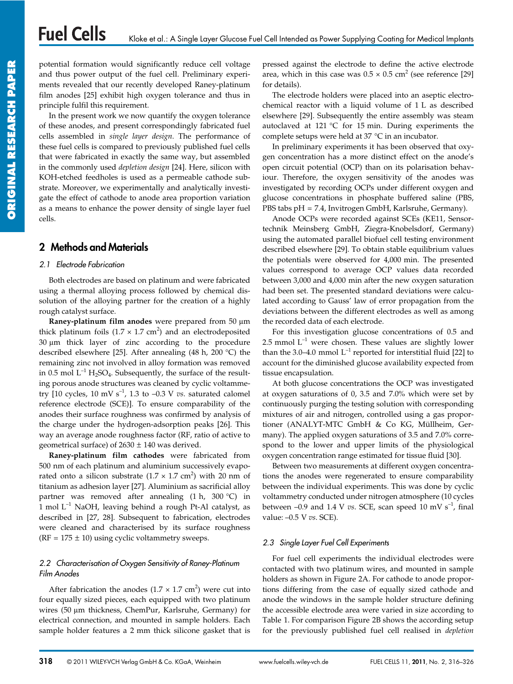potential formation would significantly reduce cell voltage and thus power output of the fuel cell. Preliminary experiments revealed that our recently developed Raney-platinum film anodes [25] exhibit high oxygen tolerance and thus in principle fulfil this requirement.

In the present work we now quantify the oxygen tolerance of these anodes, and present correspondingly fabricated fuel cells assembled in *single layer design*. The performance of these fuel cells is compared to previously published fuel cells that were fabricated in exactly the same way, but assembled in the commonly used *depletion design* [24]. Here, silicon with KOH-etched feedholes is used as a permeable cathode substrate. Moreover, we experimentally and analytically investigate the effect of cathode to anode area proportion variation as a means to enhance the power density of single layer fuel cells.

# **2 Methods and Materials**

## *2.1 Electrode Fabrication*

Both electrodes are based on platinum and were fabricated using a thermal alloying process followed by chemical dissolution of the alloying partner for the creation of a highly rough catalyst surface.

**Raney-platinum film anodes** were prepared from 50 µm thick platinum foils  $(1.7 \times 1.7 \text{ cm}^2)$  and an electrodeposited  $30 \mu m$  thick layer of zinc according to the procedure described elsewhere [25]. After annealing (48 h, 200 °C) the remaining zinc not involved in alloy formation was removed in 0.5 mol  $L^{-1}$  H<sub>2</sub>SO<sub>4</sub>. Subsequently, the surface of the resulting porous anode structures was cleaned by cyclic voltammetry  $[10 \text{ cycles}, 10 \text{ mV s}^{-1}, 1.3 \text{ to } -0.3 \text{ V} \text{ vs. saturated calomel}$ reference electrode (SCE)]. To ensure comparability of the anodes their surface roughness was confirmed by analysis of the charge under the hydrogen-adsorption peaks [26]. This way an average anode roughness factor (RF, ratio of active to geometrical surface) of  $2630 \pm 140$  was derived.

**Raney-platinum film cathodes** were fabricated from 500 nm of each platinum and aluminium successively evaporated onto a silicon substrate  $(1.7 \times 1.7 \text{ cm}^2)$  with 20 nm of titanium as adhesion layer [27]. Aluminium as sacrificial alloy partner was removed after annealing  $(1 h, 300 °C)$  in 1 mol  $L^{-1}$  NaOH, leaving behind a rough Pt-Al catalyst, as described in [27, 28]. Subsequent to fabrication, electrodes were cleaned and characterised by its surface roughness ( $RF = 175 \pm 10$ ) using cyclic voltammetry sweeps.

# *2.2 Characterisation of Oxygen Sensitivity of Raney-Platinum Film Anodes*

After fabrication the anodes  $(1.7 \times 1.7 \text{ cm}^2)$  were cut into four equally sized pieces, each equipped with two platinum wires (50 µm thickness, ChemPur, Karlsruhe, Germany) for electrical connection, and mounted in sample holders. Each sample holder features a 2 mm thick silicone gasket that is

pressed against the electrode to define the active electrode area, which in this case was  $0.5 \times 0.5$  cm<sup>2</sup> (see reference [29] for details).

The electrode holders were placed into an aseptic electrochemical reactor with a liquid volume of 1 L as described elsewhere [29]. Subsequently the entire assembly was steam autoclaved at 121 °C for 15 min. During experiments the complete setups were held at 37 °C in an incubator.

In preliminary experiments it has been observed that oxygen concentration has a more distinct effect on the anode's open circuit potential (OCP) than on its polarisation behaviour. Therefore, the oxygen sensitivity of the anodes was investigated by recording OCPs under different oxygen and glucose concentrations in phosphate buffered saline (PBS, PBS tabs pH = 7.4, Invitrogen GmbH, Karlsruhe, Germany).

Anode OCPs were recorded against SCEs (KE11, Sensortechnik Meinsberg GmbH, Ziegra-Knobelsdorf, Germany) using the automated parallel biofuel cell testing environment described elsewhere [29]. To obtain stable equilibrium values the potentials were observed for 4,000 min. The presented values correspond to average OCP values data recorded between 3,000 and 4,000 min after the new oxygen saturation had been set. The presented standard deviations were calculated according to Gauss' law of error propagation from the deviations between the different electrodes as well as among the recorded data of each electrode.

For this investigation glucose concentrations of 0.5 and 2.5 mmol  $L^{-1}$  were chosen. These values are slightly lower than the 3.0–4.0 mmol  $L^{-1}$  reported for interstitial fluid [22] to account for the diminished glucose availability expected from tissue encapsulation.

At both glucose concentrations the OCP was investigated at oxygen saturations of 0, 3.5 and 7.0% which were set by continuously purging the testing solution with corresponding mixtures of air and nitrogen, controlled using a gas proportioner (ANALYT-MTC GmbH & Co KG, Müllheim, Germany). The applied oxygen saturations of 3.5 and 7.0% correspond to the lower and upper limits of the physiological oxygen concentration range estimated for tissue fluid [30].

Between two measurements at different oxygen concentrations the anodes were regenerated to ensure comparability between the individual experiments. This was done by cyclic voltammetry conducted under nitrogen atmosphere (10 cycles between  $-0.9$  and 1.4 V *vs*. SCE, scan speed 10 mV s<sup>-1</sup>, final value: –0.5 V *vs*. SCE).

# *2.3 Single Layer Fuel Cell Experiments*

For fuel cell experiments the individual electrodes were contacted with two platinum wires, and mounted in sample holders as shown in Figure 2A. For cathode to anode proportions differing from the case of equally sized cathode and anode the windows in the sample holder structure defining the accessible electrode area were varied in size according to Table 1. For comparison Figure 2B shows the according setup for the previously published fuel cell realised in *depletion*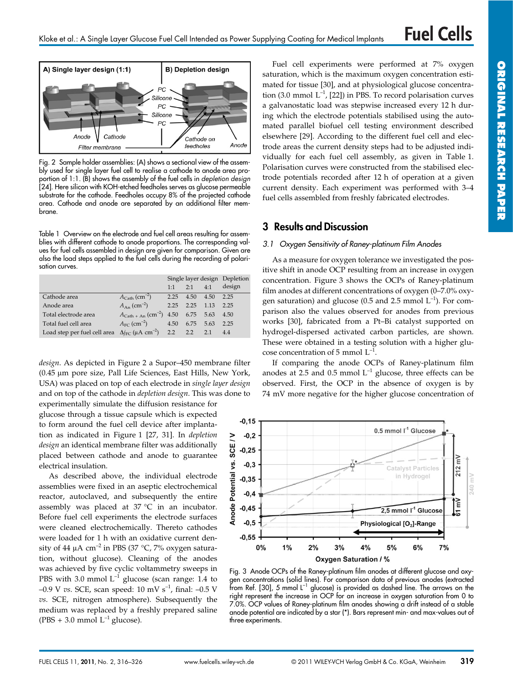

Fig. 2 Sample holder assemblies: (A) shows a sectional view of the assembly used for single layer fuel cell to realise a cathode to anode area proportion of 1:1. (B) shows the assembly of the fuel cells in *depletion design* [24]. Here silicon with KOH-etched feedholes serves as glucose permeable substrate for the cathode. Feedholes occupy 8% of the projected cathode area. Cathode and anode are separated by an additional filter membrane.

Table 1 Overview on the electrode and fuel cell areas resulting for assemblies with different cathode to anode proportions. The corresponding values for fuel cells assembled in design are given for comparison. Given are also the load steps applied to the fuel cells during the recording of polarisation curves.

|                                                                                      |                                        | Single layer design Depletion |      |      |        |
|--------------------------------------------------------------------------------------|----------------------------------------|-------------------------------|------|------|--------|
|                                                                                      |                                        | $1-1$                         | 2.1  | 4.1  | design |
| Cathode area                                                                         | $A_{\text{Cath}}$ (cm <sup>-2</sup> )  | 2.25                          | 4.50 | 4.50 | 2.25   |
| Anode area                                                                           | $A_{\rm An}$ (cm <sup>-2</sup> )       | 2.25                          | 2.25 | 1.13 | 2.25   |
| Total electrode area                                                                 | $A_{\text{Cath + An}}(\text{cm}^{-2})$ | 4.50                          | 6.75 | 5.63 | 4.50   |
| Total fuel cell area                                                                 | $A_{\rm FC}$ (cm <sup>-2</sup> )       | 4.50                          | 6.75 | 5.63 | 2.25   |
| Load step per fuel cell area $\Delta j_{\text{FC}}$ ( $\mu$ A cm <sup>-2</sup> ) 2.2 |                                        |                               | 2.2  | 2.1  | 4.4    |

*design*. As depicted in Figure 2 a Supor–450 membrane filter (0.45 µm pore size, Pall Life Sciences, East Hills, New York, USA) was placed on top of each electrode in *single layer design* and on top of the cathode in *depletion design*. This was done to

experimentally simulate the diffusion resistance for glucose through a tissue capsule which is expected to form around the fuel cell device after implantation as indicated in Figure 1 [27, 31]. In *depletion design* an identical membrane filter was additionally placed between cathode and anode to guarantee electrical insulation.

As described above, the individual electrode assemblies were fixed in an aseptic electrochemical reactor, autoclaved, and subsequently the entire assembly was placed at 37 °C in an incubator. Before fuel cell experiments the electrode surfaces were cleaned electrochemically. Thereto cathodes were loaded for 1 h with an oxidative current density of 44  $\mu$ A cm<sup>-2</sup> in PBS (37 °C, 7% oxygen saturation, without glucose). Cleaning of the anodes was achieved by five cyclic voltammetry sweeps in PBS with 3.0 mmol  $L^{-1}$  glucose (scan range: 1.4 to  $-0.9$  V *vs*. SCE, scan speed: 10 mV s<sup>-1</sup>, final:  $-0.5$  V *vs*. SCE, nitrogen atmosphere). Subsequently the medium was replaced by a freshly prepared saline (PBS + 3.0 mmol  $L^{-1}$  glucose).

Fuel cell experiments were performed at 7% oxygen saturation, which is the maximum oxygen concentration estimated for tissue [30], and at physiological glucose concentration (3.0 mmol  $L^{-1}$ , [22]) in PBS. To record polarisation curves a galvanostatic load was stepwise increased every 12 h during which the electrode potentials stabilised using the automated parallel biofuel cell testing environment described elsewhere [29]. According to the different fuel cell and electrode areas the current density steps had to be adjusted individually for each fuel cell assembly, as given in Table 1. Polarisation curves were constructed from the stabilised electrode potentials recorded after 12 h of operation at a given current density. Each experiment was performed with 3–4 fuel cells assembled from freshly fabricated electrodes.

# **3 Results and Discussion**

#### *3.1 Oxygen Sensitivity of Raney-platinum Film Anodes*

As a measure for oxygen tolerance we investigated the positive shift in anode OCP resulting from an increase in oxygen concentration. Figure 3 shows the OCPs of Raney-platinum film anodes at different concentrations of oxygen (0–7.0% oxygen saturation) and glucose (0.5 and 2.5 mmol  $L^{-1}$ ). For comparison also the values observed for anodes from previous works [30], fabricated from a Pt–Bi catalyst supported on hydrogel-dispersed activated carbon particles, are shown. These were obtained in a testing solution with a higher glucose concentration of 5 mmol  $L^{-1}$ .

If comparing the anode OCPs of Raney-platinum film anodes at 2.5 and 0.5 mmol  $L^{-1}$  glucose, three effects can be observed. First, the OCP in the absence of oxygen is by 74 mV more negative for the higher glucose concentration of



Fig. 3 Anode OCPs of the Raney-platinum film anodes at different glucose and oxygen concentrations (solid lines). For comparison data of previous anodes (extracted from Ref. [30], 5 mmol L<sup>-1</sup> glucose) is provided as dashed line. The arrows on the right represent the increase in OCP for an increase in oxygen saturation from 0 to 7.0%. OCP values of Raney-platinum film anodes showing a drift instead of a stable anode potential are indicated by a star (\*). Bars represent min- and max-values out of three experiments.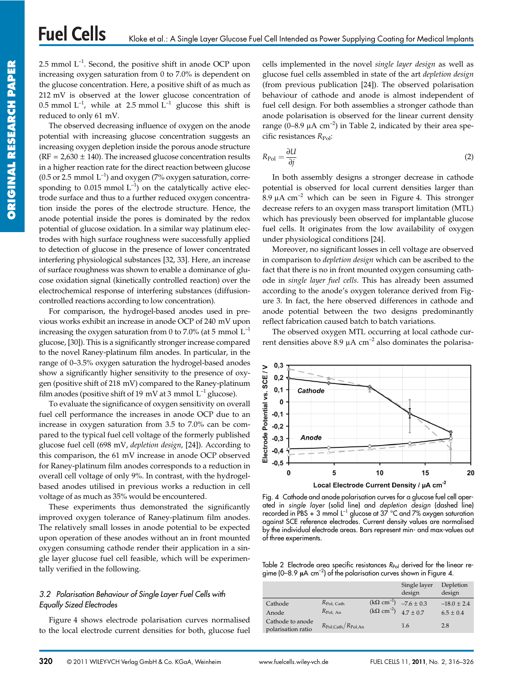**Fuel Cells** 

2.5 mmol  $L^{-1}$ . Second, the positive shift in anode OCP upon increasing oxygen saturation from 0 to 7.0% is dependent on the glucose concentration. Here, a positive shift of as much as 212 mV is observed at the lower glucose concentration of 0.5 mmol  $L^{-1}$ , while at 2.5 mmol  $L^{-1}$  glucose this shift is reduced to only 61 mV.

The observed decreasing influence of oxygen on the anode potential with increasing glucose concentration suggests an increasing oxygen depletion inside the porous anode structure ( $RF = 2.630 \pm 140$ ). The increased glucose concentration results in a higher reaction rate for the direct reaction between glucose (0.5 or 2.5 mmol  $L^{-1}$ ) and oxygen (7% oxygen saturation, corresponding to 0.015 mmol  $L^{-1}$ ) on the catalytically active electrode surface and thus to a further reduced oxygen concentration inside the pores of the electrode structure. Hence, the anode potential inside the pores is dominated by the redox potential of glucose oxidation. In a similar way platinum electrodes with high surface roughness were successfully applied to detection of glucose in the presence of lower concentrated interfering physiological substances [32, 33]. Here, an increase of surface roughness was shown to enable a dominance of glucose oxidation signal (kinetically controlled reaction) over the electrochemical response of interfering substances (diffusioncontrolled reactions according to low concentration).

For comparison, the hydrogel-based anodes used in previous works exhibit an increase in anode OCP of 240 mV upon increasing the oxygen saturation from 0 to 7.0% (at 5 mmol  $L^{-1}$ glucose, [30]). This is a significantly stronger increase compared to the novel Raney-platinum film anodes. In particular, in the range of 0–3.5% oxygen saturation the hydrogel-based anodes show a significantly higher sensitivity to the presence of oxygen (positive shift of 218 mV) compared to the Raney-platinum film anodes (positive shift of 19 mV at 3 mmol  $L^{-1}$  glucose).

To evaluate the significance of oxygen sensitivity on overall fuel cell performance the increases in anode OCP due to an increase in oxygen saturation from 3.5 to 7.0% can be compared to the typical fuel cell voltage of the formerly published glucose fuel cell (698 mV, *depletion design*, [24]). According to this comparison, the 61 mV increase in anode OCP observed for Raney-platinum film anodes corresponds to a reduction in overall cell voltage of only 9%. In contrast, with the hydrogelbased anodes utilised in previous works a reduction in cell voltage of as much as 35% would be encountered.

These experiments thus demonstrated the significantly improved oxygen tolerance of Raney-platinum film anodes. The relatively small losses in anode potential to be expected upon operation of these anodes without an in front mounted oxygen consuming cathode render their application in a single layer glucose fuel cell feasible, which will be experimentally verified in the following.

#### *3.2 Polarisation Behaviour of Single Layer Fuel Cells with Equally Sized Electrodes*

Figure 4 shows electrode polarisation curves normalised to the local electrode current densities for both, glucose fuel cells implemented in the novel *single layer design* as well as glucose fuel cells assembled in state of the art *depletion design* (from previous publication [24]). The observed polarisation behaviour of cathode and anode is almost independent of fuel cell design. For both assemblies a stronger cathode than anode polarisation is observed for the linear current density range (0–8.9  $\mu$ A cm<sup>-2</sup>) in Table 2, indicated by their area specific resistances  $R_{Pol}$ :

$$
R_{\rm Pol} = \frac{\partial U}{\partial j} \tag{2}
$$

In both assembly designs a stronger decrease in cathode potential is observed for local current densities larger than  $8.9 \mu A \text{ cm}^{-2}$  which can be seen in Figure 4. This stronger decrease refers to an oxygen mass transport limitation (MTL) which has previously been observed for implantable glucose fuel cells. It originates from the low availability of oxygen under physiological conditions [24].

Moreover, no significant losses in cell voltage are observed in comparison to *depletion design* which can be ascribed to the fact that there is no in front mounted oxygen consuming cathode in *single layer fuel cells*. This has already been assumed according to the anode's oxygen tolerance derived from Figure 3. In fact, the here observed differences in cathode and anode potential between the two designs predominantly reflect fabrication caused batch to batch variations.

The observed oxygen MTL occurring at local cathode current densities above 8.9  $\mu$ A cm<sup>-2</sup> also dominates the polarisa-



Fig. 4 Cathode and anode polarisation curves for a glucose fuel cell operated in *single layer* (solid line) and *depletion design* (dashed line) recorded in PBS + 3 mmol  $L^{-1}$  glucose at 37 °C and 7% oxygen saturation against SCE reference electrodes. Current density values are normalised by the individual electrode areas. Bars represent min- and max-values out of three experiments.

Table 2 Electrode area specific resistances *R*P<sub>ol</sub> derived for the linear regime (0–8.9  $\mu$ A cm<sup>-2</sup>) of the polarisation curves shown in Figure 4.

|                                        |                                             |                                                              | Single layer<br>design | Depletion<br>design              |
|----------------------------------------|---------------------------------------------|--------------------------------------------------------------|------------------------|----------------------------------|
| Cathode<br>Anode                       | $R_{\rm Pol, \, Cath}$<br>$R_{\rm Pol, An}$ | $(k\Omega cm^{-2})$<br>$(k\Omega \text{ cm}^{-2})$ 4.7 ± 0.7 | $-7.6 \pm 0.3$         | $-18.0 \pm 2.4$<br>$6.5 \pm 0.4$ |
| Cathode to anode<br>polarisation ratio | $R_{\rm Pol, Cath}/R_{\rm Pol, An}$         |                                                              | 1.6                    | 2.8                              |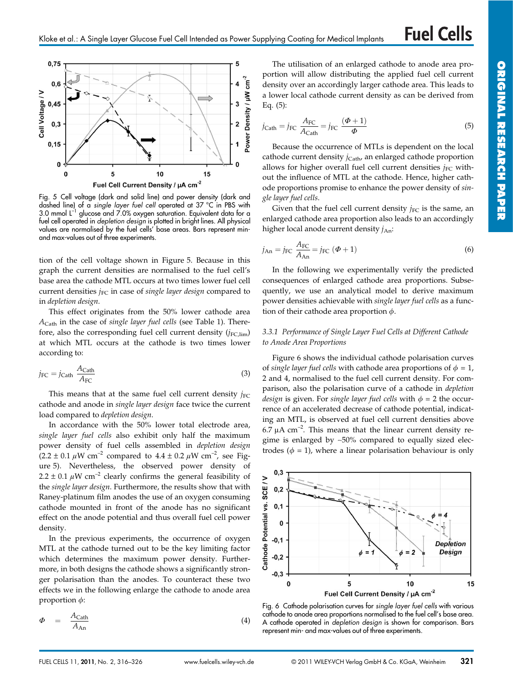

Fig. 5 Cell voltage (dark and solid line) and power density (dark and dashed line) of a *single layer fuel cell* operated at 37 °C in PBS with 3.0 mmol L–1 glucose and 7.0% oxygen saturation. Equivalent data for a fuel cell operated in *depletion design* is plotted in bright lines. All physical values are normalised by the fuel cells' base areas. Bars represent minand max-values out of three experiments.

tion of the cell voltage shown in Figure 5. Because in this graph the current densities are normalised to the fuel cell's base area the cathode MTL occurs at two times lower fuel cell current densities *j*<sub>FC</sub> in case of *single layer design* compared to in *depletion design*.

This effect originates from the 50% lower cathode area *A*Cath in the case of *single layer fuel cells* (see Table 1). Therefore, also the corresponding fuel cell current density  $(i_{FC\,lim})$ at which MTL occurs at the cathode is two times lower according to:

$$
j_{\rm FC} = j_{\rm Cath} \frac{A_{\rm Cath}}{A_{\rm FC}} \tag{3}
$$

This means that at the same fuel cell current density  $j_{\text{EC}}$ cathode and anode in *single layer design* face twice the current load compared to *depletion design*.

In accordance with the 50% lower total electrode area, *single layer fuel cells* also exhibit only half the maximum power density of fuel cells assembled in *depletion design*  $(2.2 \pm 0.1 \,\mu\text{W cm}^{-2}$  compared to  $4.4 \pm 0.2 \,\mu\text{W cm}^{-2}$ , see Figure 5). Nevertheless, the observed power density of  $2.2 \pm 0.1 \mu W \text{ cm}^{-2}$  clearly confirms the general feasibility of the *single layer design*. Furthermore, the results show that with Raney-platinum film anodes the use of an oxygen consuming cathode mounted in front of the anode has no significant effect on the anode potential and thus overall fuel cell power density.

In the previous experiments, the occurrence of oxygen MTL at the cathode turned out to be the key limiting factor which determines the maximum power density. Furthermore, in both designs the cathode shows a significantly stronger polarisation than the anodes. To counteract these two effects we in the following enlarge the cathode to anode area proportion  $\phi$ :

$$
\Phi = \frac{A_{\text{Cath}}}{A_{\text{An}}} \tag{4}
$$

The utilisation of an enlarged cathode to anode area proportion will allow distributing the applied fuel cell current density over an accordingly larger cathode area. This leads to a lower local cathode current density as can be derived from Eq. (5):

$$
j_{\text{Cath}} = j_{\text{FC}} \frac{A_{\text{FC}}}{A_{\text{Cath}}} = j_{\text{FC}} \frac{(\Phi + 1)}{\Phi} \tag{5}
$$

Because the occurrence of MTLs is dependent on the local cathode current density  $i_{\text{Cath}}$  an enlarged cathode proportion allows for higher overall fuel cell current densities  $j_{FC}$  without the influence of MTL at the cathode. Hence, higher cathode proportions promise to enhance the power density of *single layer fuel cells*.

Given that the fuel cell current density  $j_{FC}$  is the same, an enlarged cathode area proportion also leads to an accordingly higher local anode current density  $j_{An}$ :

$$
j_{\text{An}} = j_{\text{FC}} \frac{A_{\text{FC}}}{A_{\text{An}}} = j_{\text{FC}} (\Phi + 1)
$$
 (6)

In the following we experimentally verify the predicted consequences of enlarged cathode area proportions. Subsequently, we use an analytical model to derive maximum power densities achievable with *single layer fuel cells* as a function of their cathode area proportion  $\phi$ .

#### *3.3.1 Performance of Single Layer Fuel Cells at Different Cathode to Anode Area Proportions*

Figure 6 shows the individual cathode polarisation curves of *single layer fuel cells* with cathode area proportions of  $\phi = 1$ , 2 and 4, normalised to the fuel cell current density. For comparison, also the polarisation curve of a cathode in *depletion design* is given. For *single layer fuel cells* with  $\phi = 2$  the occurrence of an accelerated decrease of cathode potential, indicating an MTL, is observed at fuel cell current densities above 6.7  $\mu$ A cm<sup>-2</sup>. This means that the linear current density regime is enlarged by ∼50% compared to equally sized electrodes ( $\phi = 1$ ), where a linear polarisation behaviour is only



Fig. 6 Cathode polarisation curves for *single layer fuel cells* with various cathode to anode area proportions normalised to the fuel cell's base area. A cathode operated in *depletion design* is shown for comparison. Bars represent min- and max-values out of three experiments.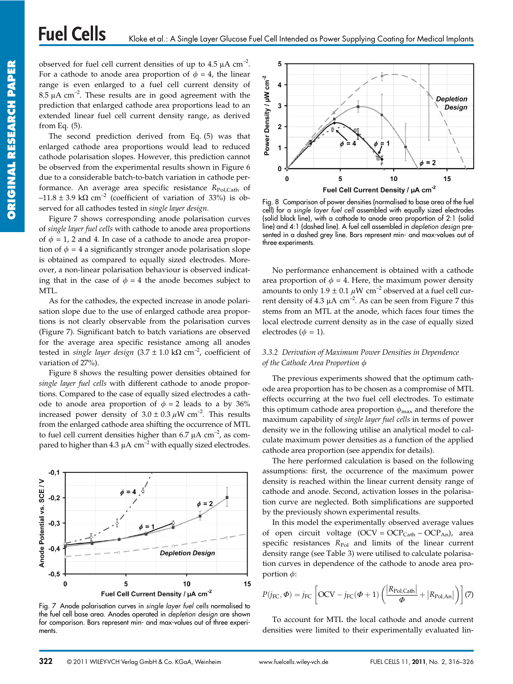observed for fuel cell current densities of up to  $4.5 \mu A \text{ cm}^{-2}$ . For a cathode to anode area proportion of  $\phi = 4$ , the linear range is even enlarged to a fuel cell current density of  $8.5 \mu A \text{ cm}^{-2}$ . These results are in good agreement with the prediction that enlarged cathode area proportions lead to an extended linear fuel cell current density range, as derived from Eq. (5).

The second prediction derived from Eq. (5) was that enlarged cathode area proportions would lead to reduced cathode polarisation slopes. However, this prediction cannot be observed from the experimental results shown in Figure 6 due to a considerable batch-to-batch variation in cathode performance. An average area specific resistance *R*Pol,Cath of  $-11.8 \pm 3.9 \text{ k}\Omega \text{ cm}^{-2}$  (coefficient of variation of 33%) is observed for all cathodes tested in *single layer design*.

Figure 7 shows corresponding anode polarisation curves of *single layer fuel cells* with cathode to anode area proportions of  $\phi = 1$ , 2 and 4. In case of a cathode to anode area proportion of  $\phi = 4$  a significantly stronger anode polarisation slope is obtained as compared to equally sized electrodes. Moreover, a non-linear polarisation behaviour is observed indicating that in the case of  $\phi = 4$  the anode becomes subject to MTL.

As for the cathodes, the expected increase in anode polarisation slope due to the use of enlarged cathode area proportions is not clearly observable from the polarisation curves (Figure 7). Significant batch to batch variations are observed for the average area specific resistance among all anodes tested in *single layer design*  $(3.7 \pm 1.0 \text{ k}\Omega \text{ cm}^{-2})$ , coefficient of variation of 27%).

Figure 8 shows the resulting power densities obtained for *single layer fuel cells* with different cathode to anode proportions. Compared to the case of equally sized electrodes a cathode to anode area proportion of  $\phi = 2$  leads to a by 36% increased power density of  $3.0 \pm 0.3 \mu$ W cm<sup>-2</sup>. This results from the enlarged cathode area shifting the occurrence of MTL to fuel cell current densities higher than 6.7  $\mu$ A cm<sup>-2</sup>, as compared to higher than 4.3  $\mu$ A cm<sup>-2</sup> with equally sized electrodes.



Fig. 7 Anode polarisation curves in *single layer fuel cells* normalised to the fuel cell base area. Anodes operated in *depletion design* are shown for comparison. Bars represent min- and max-values out of three experiments.



Fig. 8 Comparison of power densities (normalised to base area of the fuel cell) for a *single layer fuel cell* assembled with equally sized electrodes (solid black line), with a cathode to anode area proportion of 2:1 (solid line) and 4:1 (dashed line). A fuel cell assembled in *depletion design* presented in a dashed grey line. Bars represent min- and max-values out of three experiments.

No performance enhancement is obtained with a cathode area proportion of  $\phi = 4$ . Here, the maximum power density amounts to only  $1.9 \pm 0.1 \mu W \text{ cm}^{-2}$  observed at a fuel cell current density of  $4.3 \mu A \text{ cm}^{-2}$ . As can be seen from Figure 7 this stems from an MTL at the anode, which faces four times the local electrode current density as in the case of equally sized electrodes ( $\phi = 1$ ).

#### *3.3.2 Derivation of Maximum Power Densities in Dependence of the Cathode Area Proportion*

The previous experiments showed that the optimum cathode area proportion has to be chosen as a compromise of MTL effects occurring at the two fuel cell electrodes. To estimate this optimum cathode area proportion  $\phi_{\text{max}}$  and therefore the maximum capability of *single layer fuel cells* in terms of power density we in the following utilise an analytical model to calculate maximum power densities as a function of the applied cathode area proportion (see appendix for details).

The here performed calculation is based on the following assumptions: first, the occurrence of the maximum power density is reached within the linear current density range of cathode and anode. Second, activation losses in the polarisation curve are neglected. Both simplifications are supported by the previously shown experimental results.

In this model the experimentally observed average values of open circuit voltage  $(OCV = OCP<sub>Cath</sub> - OCP<sub>An</sub>)$ , area specific resistances  $R_{Pol}$  and limits of the linear current density range (see Table 3) were utilised to calculate polarisation curves in dependence of the cathode to anode area proportion  $\phi$ :

$$
P(j_{\text{FC}}, \Phi) = j_{\text{FC}} \left[ \text{OCV} - j_{\text{FC}}(\Phi + 1) \left( \frac{|R_{\text{Pol,Cath}}|}{\Phi} + |R_{\text{Pol,An}}| \right) \right] (7)
$$

To account for MTL the local cathode and anode current densities were limited to their experimentally evaluated lin-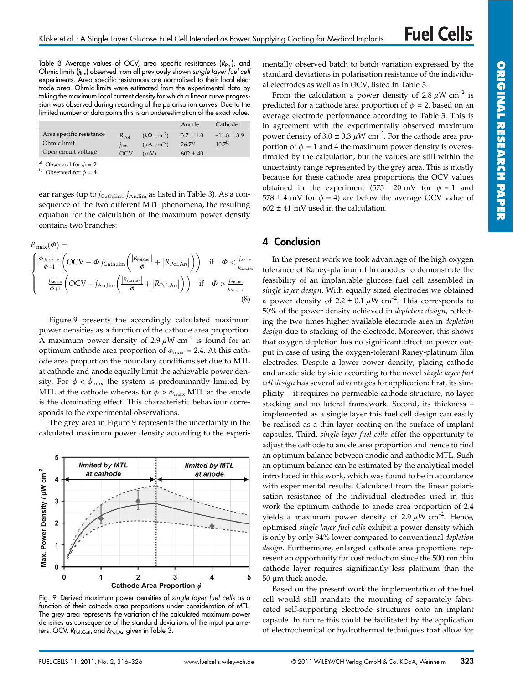**PAPER** 

Table 3 Average values of OCV, area specific resistances (R<sub>Pol</sub>), and Ohmic limits (*j*lim) observed from all previously shown *single layer fuel cell* experiments. Area specific resistances are normalised to their local electrode area. Ohmic limits were estimated from the experimental data by taking the maximum local current density for which a linear curve progression was observed during recording of the polarisation curves. Due to the limited number of data points this is an underestimation of the exact value.

|                               |           |                             | Anode         | Cathode         |
|-------------------------------|-----------|-----------------------------|---------------|-----------------|
| Area specific resistance      | $R_{Pol}$ | $(k\Omega \text{ cm}^{-2})$ | $3.7 \pm 1.0$ | $-11.8 \pm 3.9$ |
| Ohmic limit                   | llim      | $(\mu A \text{ cm}^{-2})$   | $26.7^{a}$    | $10^{7b}$       |
| Open circuit voltage          | OCV       | (mV)                        | $602 \pm 40$  |                 |
| $\mathbf{A}$ and $\mathbf{A}$ |           |                             |               |                 |

Observed for  $\phi = 2$ .

 $^{\textrm{\tiny{(b)}}}$  Observed for  $\phi = 4.$ 

ear ranges (up to *j*<sub>Cath,lim</sub>, *j*<sub>An,lim</sub> as listed in Table 3). As a consequence of the two different MTL phenomena, the resulting equation for the calculation of the maximum power density contains two branches:

$$
P_{\max}(\Phi) = \frac{\left(\frac{\Phi j_{\text{Cath,lim}}}{\Phi+1}\left(OCV - \Phi j_{\text{Cath,lim}}\left(\frac{|R_{\text{Pol,Cath}}|}{\Phi} + |R_{\text{Pol},An}|\right)\right)\right) \text{ if } \Phi < \frac{j_{\text{An,lim}}}{j_{\text{Cath,lim}}} \left(\frac{j_{\text{An,lim}}}{\Phi+1}\left(OCV - j_{\text{An,lim}}\left(\frac{|R_{\text{Pol,Cath}}|}{\Phi} + |R_{\text{Pol},An}|\right)\right) \text{ if } \Phi > \frac{j_{\text{An,lim}}}{j_{\text{Cath,lim}}} \tag{8}
$$

Figure 9 presents the accordingly calculated maximum power densities as a function of the cathode area proportion. A maximum power density of 2.9  $\mu$ W cm<sup>-2</sup> is found for an optimum cathode area proportion of  $\phi_{\text{max}} = 2.4$ . At this cathode area proportion the boundary conditions set due to MTL at cathode and anode equally limit the achievable power density. For  $\phi < \phi_{\text{max}}$  the system is predominantly limited by MTL at the cathode whereas for  $\phi > \phi_{\text{max}}$  MTL at the anode is the dominating effect. This characteristic behaviour corresponds to the experimental observations.

The grey area in Figure 9 represents the uncertainty in the calculated maximum power density according to the experi-



Fig. 9 Derived maximum power densities of *single layer fuel cells* as a function of their cathode area proportions under consideration of MTL. The grey area represents the variation of the calculated maximum power densities as consequence of the standard deviations of the input parameters: OCV, *R*<sub>Pol,Cath</sub> and *R*<sub>Pol,An</sub> given in Table 3.

mentally observed batch to batch variation expressed by the standard deviations in polarisation resistance of the individual electrodes as well as in OCV, listed in Table 3.

From the calculation a power density of 2.8  $\mu$ W cm<sup>-2</sup> is predicted for a cathode area proportion of  $\phi = 2$ , based on an average electrode performance according to Table 3. This is in agreement with the experimentally observed maximum power density of  $3.0 \pm 0.3 \mu$ W cm<sup>-2</sup>. For the cathode area proportion of  $\phi = 1$  and 4 the maximum power density is overestimated by the calculation, but the values are still within the uncertainty range represented by the grey area. This is mostly because for these cathode area proportions the OCV values obtained in the experiment  $(575 \pm 20 \text{ mV}$  for  $\phi = 1$  and  $578 \pm 4$  mV for  $\phi = 4$ ) are below the average OCV value of  $602 \pm 41$  mV used in the calculation.

# **4 Conclusion**

In the present work we took advantage of the high oxygen tolerance of Raney-platinum film anodes to demonstrate the feasibility of an implantable glucose fuel cell assembled in *single layer design*. With equally sized electrodes we obtained a power density of  $2.2 \pm 0.1 \,\mu\text{W cm}^{-2}$ . This corresponds to 50% of the power density achieved in *depletion design*, reflecting the two times higher available electrode area in *depletion design* due to stacking of the electrode. Moreover, this shows that oxygen depletion has no significant effect on power output in case of using the oxygen-tolerant Raney-platinum film electrodes. Despite a lower power density, placing cathode and anode side by side according to the novel *single layer fuel cell design* has several advantages for application: first, its simplicity – it requires no permeable cathode structure, no layer stacking and no lateral framework. Second, its thickness – implemented as a single layer this fuel cell design can easily be realised as a thin-layer coating on the surface of implant capsules. Third, *single layer fuel cells* offer the opportunity to adjust the cathode to anode area proportion and hence to find an optimum balance between anodic and cathodic MTL. Such an optimum balance can be estimated by the analytical model introduced in this work, which was found to be in accordance with experimental results. Calculated from the linear polarisation resistance of the individual electrodes used in this work the optimum cathode to anode area proportion of 2.4 yields a maximum power density of 2.9  $\mu$ W cm<sup>-2</sup>. Hence, optimised *single layer fuel cells* exhibit a power density which is only by only 34% lower compared to conventional *depletion design*. Furthermore, enlarged cathode area proportions represent an opportunity for cost reduction since the 500 nm thin cathode layer requires significantly less platinum than the 50 um thick anode.

Based on the present work the implementation of the fuel cell would still mandate the mounting of separately fabricated self-supporting electrode structures onto an implant capsule. In future this could be facilitated by the application of electrochemical or hydrothermal techniques that allow for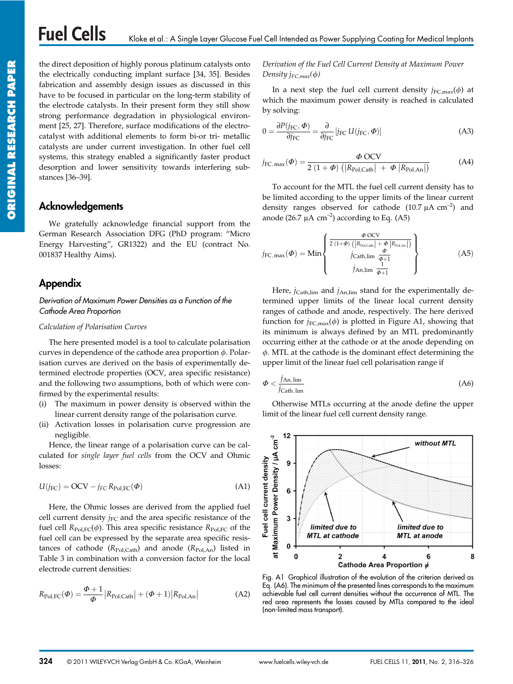the direct deposition of highly porous platinum catalysts onto the electrically conducting implant surface [34, 35]. Besides fabrication and assembly design issues as discussed in this have to be focused in particular on the long-term stability of the electrode catalysts. In their present form they still show strong performance degradation in physiological environment [25, 27]. Therefore, surface modifications of the electrocatalyst with additional elements to form bi-or tri- metallic catalysts are under current investigation. In other fuel cell systems, this strategy enabled a significantly faster product desorption and lower sensitivity towards interfering substances [36–39].

# **Acknowledgements**

We gratefully acknowledge financial support from the German Research Association DFG (PhD program: "Micro Energy Harvesting", GR1322) and the EU (contract No. 001837 Healthy Aims).

# **Appendix**

#### *Derivation of Maximum Power Densities as a Function of the Cathode Area Proportion*

#### *Calculation of Polarisation Curves*

The here presented model is a tool to calculate polarisation curves in dependence of the cathode area proportion  $\phi$ . Polarisation curves are derived on the basis of experimentally determined electrode properties (OCV, area specific resistance) and the following two assumptions, both of which were confirmed by the experimental results:

- (i) The maximum in power density is observed within the linear current density range of the polarisation curve.
- (ii) Activation losses in polarisation curve progression are negligible.

Hence, the linear range of a polarisation curve can be calculated for *single layer fuel cells* from the OCV and Ohmic losses:

$$
U(j_{FC}) = OCV - j_{FC} R_{Pol,FC}(\Phi)
$$
 (A1)

Here, the Ohmic losses are derived from the applied fuel cell current density  $j_{FC}$  and the area specific resistance of the fuel cell  $R_{Pol,FC}(\phi)$ . This area specific resistance  $R_{Pol,FC}$  of the fuel cell can be expressed by the separate area specific resistances of cathode  $(R_{Pol, Cath})$  and anode  $(R_{Pol, An})$  listed in Table 3 in combination with a conversion factor for the local electrode current densities:

$$
R_{\text{Pol},\text{FC}}(\Phi) = \frac{\Phi + 1}{\Phi} |R_{\text{Pol},\text{Cath}}| + (\Phi + 1)|R_{\text{Pol},\text{An}}| \tag{A2}
$$

## *Derivation of the Fuel Cell Current Density at Maximum Power Density*  $i_{FC,max}(\phi)$

In a next step the fuel cell current density  $j_{FC,max}(\phi)$  at which the maximum power density is reached is calculated by solving:

$$
0 = \frac{\partial P(j_{\text{FC}}, \Phi)}{\partial j_{\text{FC}}} = \frac{\partial}{\partial j_{\text{FC}}} [j_{\text{FC}} U(j_{\text{FC}}, \Phi)]
$$
(A3)

$$
j_{\text{FC, max}}(\boldsymbol{\Phi}) = \frac{\boldsymbol{\Phi} \text{ OCV}}{2 (1 + \boldsymbol{\Phi}) \left( |R_{\text{Pol}, \text{Cath}}| + \boldsymbol{\Phi} | R_{\text{Pol}, \text{An}}| \right)}
$$
(A4)

To account for the MTL the fuel cell current density has to be limited according to the upper limits of the linear current density ranges observed for cathode  $(10.7 \mu A \text{ cm}^{-2})$  and anode (26.7  $\mu$ A cm<sup>-2</sup>) according to Eq. (A5)

$$
j_{FC, \max}(\boldsymbol{\Phi}) = \text{Min}\left\{\frac{\frac{\boldsymbol{\Phi} \text{ OCV}}{2 (1 + \boldsymbol{\Phi}) \left( \left| R_{\text{Pol}, \text{Cath}} \right| + \boldsymbol{\Phi} \left| R_{\text{Pol}, \text{An}} \right| \right)}}{j_{\text{Cath}, \lim} \frac{\frac{\boldsymbol{\Phi}}{\boldsymbol{\Phi} + 1}}{j_{\text{An}, \lim} \frac{1}{\boldsymbol{\Phi} + 1}}}\right\}
$$
(A5)

Here, *j*<sub>Cath,lim</sub> and *j*<sub>An,lim</sub> stand for the experimentally determined upper limits of the linear local current density ranges of cathode and anode, respectively. The here derived function for  $j_{FC,max}(\phi)$  is plotted in Figure A1, showing that its minimum is always defined by an MTL predominantly occurring either at the cathode or at the anode depending on  $\phi$ . MTL at the cathode is the dominant effect determining the upper limit of the linear fuel cell polarisation range if

$$
\Phi < \frac{j_{\text{An,lim}}}{j_{\text{Cath,lim}}} \tag{A6}
$$

Otherwise MTLs occurring at the anode define the upper limit of the linear fuel cell current density range.



Fig. A1 Graphical illustration of the evolution of the criterion derived as Eq. (A6). The minimum of the presented lines corresponds to the maximum achievable fuel cell current densities without the occurrence of MTL. The red area represents the losses caused by MTLs compared to the ideal (non-limited mass transport).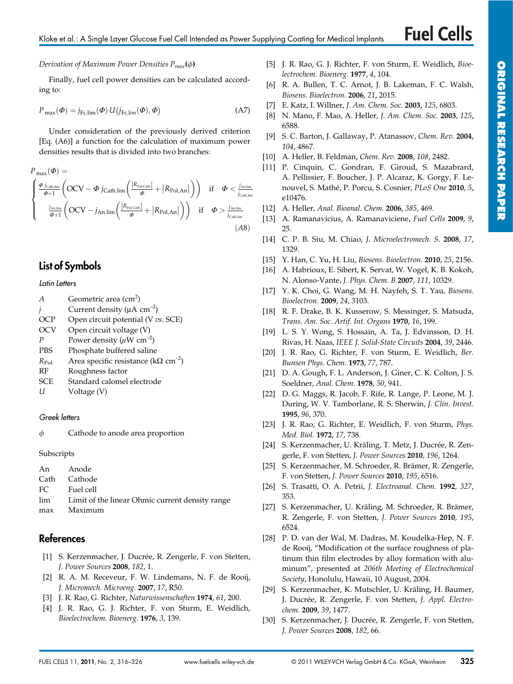#### *Derivation of Maximum Power Densities Pmax***()**

Finally, fuel cell power densities can be calculated according to:

$$
P_{\text{max}}(\boldsymbol{\Phi}) = j_{\text{Fc,lim}}(\boldsymbol{\Phi}) \, U(j_{\text{Fc,lim}}(\boldsymbol{\Phi}), \boldsymbol{\Phi}) \tag{A7}
$$

Under consideration of the previously derived criterion [Eq. (A6)] a function for the calculation of maximum power densities results that is divided into two branches:

$$
P_{\max}(\boldsymbol{\Phi}) = \begin{cases} \frac{\boldsymbol{\Phi}_{j_{\text{Cath},\text{lim}}}}{\boldsymbol{\Phi}+1} \left( \text{OCV} - \boldsymbol{\Phi}_{j_{\text{Cath}},\text{lim}} \left( \frac{|R_{\text{Pol},\text{Cath}}|}{\boldsymbol{\Phi}} + |R_{\text{Pol},\text{An}}| \right) \right) & \text{if } \boldsymbol{\Phi} < \frac{j_{\text{An},\text{lim}}}{j_{\text{Cath},\text{lim}}}\n \end{cases}
$$
\n
$$
\begin{cases} \frac{j_{\text{An},\text{lim}}}{\boldsymbol{\Phi}+1} \left( \text{OCV} - j_{\text{An},\text{lim}} \left( \frac{|R_{\text{Pol},\text{Cath}}|}{\boldsymbol{\Phi}} + |R_{\text{Pol},\text{An}}| \right) \right) & \text{if } \boldsymbol{\Phi} > \frac{j_{\text{An},\text{lim}}}{j_{\text{Cath},\text{lim}}} \n \end{cases}
$$
\n
$$
(A8)
$$

# **List of Symbols**

#### *Latin Letters*

- *A* Geometric area (cm<sup>2</sup>)
- Current density ( $\mu$ A cm<sup>-2</sup>)
- OCP Open circuit potential (V *vs*. SCE)
- OCV Open circuit voltage (V)
- *P* Power density  $(\mu W \text{ cm}^{-2})$
- PBS Phosphate buffered saline
- $R_{Pol}$  Area specific resistance (k $\Omega$  cm<sup>-2</sup>)
- RF Roughness factor
- SCE Standard calomel electrode
- *U* Voltage (V)

#### *Greek letters*

 $\phi$  Cathode to anode area proportion

**Subscripts** 

| An Anode                                            |
|-----------------------------------------------------|
| Cath Cathode                                        |
| FC Fuel cell                                        |
| lim Limit of the linear Ohmic current density range |
| max Maximum                                         |

# **References**

- [1] S. Kerzenmacher, J. Ducrée, R. Zengerle, F. von Stetten, *J. Power Sources* **2008**, *182*, 1.
- [2] R. A. M. Receveur, F. W. Lindemans, N. F. de Rooij, *J. Micromech. Microeng.* **2007**, *17*, R50.
- [3] J. R. Rao, G. Richter, *Naturwissenschaften* **1974**, *61*, 200.
- [4] J. R. Rao, G. J. Richter, F. von Sturm, E. Weidlich, *Bioelectrochem. Bioenerg.* **1976**, *3*, 139.
- [5] J. R. Rao, G. J. Richter, F. von Sturm, E. Weidlich, *Bioelectrochem. Bioenerg.* **1977**, *4*, 104.
- [6] R. A. Bullen, T. C. Arnot, J. B. Lakeman, F. C. Walsh, *Biosens. Bioelectron.* **2006**, *21*, 2015.
- [7] E. Katz, I. Willner, *J. Am. Chem. Soc.* **2003**, *125*, 6803.
- [8] N. Mano, F. Mao, A. Heller, *J. Am. Chem. Soc.* **2003**, *125*, 6588.
- [9] S. C. Barton, J. Gallaway, P. Atanassov, *Chem. Rev.* **2004**, *104*, 4867.
- [10] A. Heller, B. Feldman, *Chem. Rev.* **2008**, *108*, 2482.
- [11] P. Cinquin, C. Gondran, F. Giroud, S. Mazabrard, A. Pellissier, F. Boucher, J. P. Alcaraz, K. Gorgy, F. Lenouvel, S. Mathé, P. Porcu, S. Cosnier, *PLoS One* **2010**, *5*, e10476.
- [12] A. Heller, *Anal. Bioanal. Chem.* **2006**, *385*, 469.
- [13] A. Ramanavicius, A. Ramanaviciene, *Fuel Cells* **2009**, *9*, 25.
- [14] C. P. B. Siu, M. Chiao, *J. Microelectromech. S.* **2008**, *17*, 1329.
- [15] Y. Han, C. Yu, H. Liu, *Biosens. Bioelectron.* **2010**, *25*, 2156.
- [16] A. Habrioux, E. Sibert, K. Servat, W. Vogel, K. B. Kokoh, N. Alonso-Vante, *J. Phys. Chem. B* **2007**, *111*, 10329.
- [17] Y. K. Choi, G. Wang, M. H. Nayfeh, S. T. Yau, *Biosens. Bioelectron.* **2009**, *24*, 3103.
- [18] R. F. Drake, B. K. Kusserow, S. Messinger, S. Matsuda, *Trans. Am. Soc. Artif. Int. Organs* **1970**, *16*, 199.
- [19] L. S. Y. Wong, S. Hossain, A. Ta, J. Edvinsson, D. H. Rivas, H. Naas, *IEEE J. Solid-State Circuits* **2004**, *39*, 2446.
- [20] J. R. Rao, G. Richter, F. von Sturm, E. Weidlich, *Ber. Bunsen Phys. Chem.* **1973**, *77*, 787.
- [21] D. A. Gough, F. L. Anderson, J. Giner, C. K. Colton, J. S. Soeldner, *Anal. Chem.* **1978**, *50*, 941.
- [22] D. G. Maggs, R. Jacob, F. Rife, R. Lange, P. Leone, M. J. During, W. V. Tamborlane, R. S. Sherwin, *J. Clin. Invest.* **1995**, *96*, 370.
- [23] J. R. Rao, G. Richter, E. Weidlich, F. von Sturm, *Phys. Med. Biol.* **1972**, *17*, 738.
- [24] S. Kerzenmacher, U. Kräling, T. Metz, J. Ducrée, R. Zengerle, F. von Stetten, *J. Power Sources* **2010**, *196*, 1264.
- [25] S. Kerzenmacher, M. Schroeder, R. Brämer, R. Zengerle, F. von Stetten, *J. Power Sources* **2010**, *195*, 6516.
- [26] S. Trasatti, O. A. Petrii, *J. Electroanal. Chem.* **1992**, *327*, 353.
- [27] S. Kerzenmacher, U. Kräling, M. Schroeder, R. Brämer, R. Zengerle, F. von Stetten, *J. Power Sources* **2010**, *195*, 6524.
- [28] P. D. van der Wal, M. Dadras, M. Koudelka-Hep, N. F. de Rooij, "Modification ot the surface roughness of platinum thin film electrodes by alloy formation with aluminum", presented at *206th Meeting of Electrochemical Society*, Honolulu, Hawaii, 10 August, 2004.
- [29] S. Kerzenmacher, K. Mutschler, U. Kräling, H. Baumer, J. Ducrée, R. Zengerle, F. von Stetten, *J. Appl. Electrochem.* **2009**, *39*, 1477.
- [30] S. Kerzenmacher, J. Ducrée, R. Zengerle, F. von Stetten, *J. Power Sources* **2008**, *182*, 66.